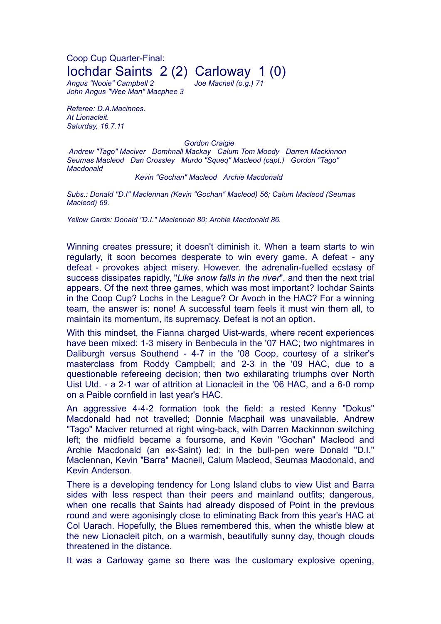Coop Cup Quarter-Final: Iochdar Saints 2 (2) Carloway 1 (0)

*Angus "Nooie" Campbell 2 Joe Macneil (o.g.) 71 John Angus "Wee Man" Macphee 3*

*Referee: D.A.Macinnes. At Lionacleit. Saturday, 16.7.11*

*Gordon Craigie*

*Andrew "Tago" Maciver Domhnall Mackay Calum Tom Moody Darren Mackinnon Seumas Macleod Dan Crossley Murdo "Squeq" Macleod (capt.) Gordon "Tago" Macdonald*

## *Kevin "Gochan" Macleod Archie Macdonald*

*Subs.: Donald "D.I" Maclennan (Kevin "Gochan" Macleod) 56; Calum Macleod (Seumas Macleod) 69.*

*Yellow Cards: Donald "D.I." Maclennan 80; Archie Macdonald 86.*

Winning creates pressure; it doesn't diminish it. When a team starts to win regularly, it soon becomes desperate to win every game. A defeat - any defeat - provokes abject misery. However. the adrenalin-fuelled ecstasy of success dissipates rapidly, "*Like snow falls in the river*", and then the next trial appears. Of the next three games, which was most important? Iochdar Saints in the Coop Cup? Lochs in the League? Or Avoch in the HAC? For a winning team, the answer is: none! A successful team feels it must win them all, to maintain its momentum, its supremacy. Defeat is not an option.

With this mindset, the Fianna charged Uist-wards, where recent experiences have been mixed: 1-3 misery in Benbecula in the '07 HAC; two nightmares in Daliburgh versus Southend - 4-7 in the '08 Coop, courtesy of a striker's masterclass from Roddy Campbell; and 2-3 in the '09 HAC, due to a questionable refereeing decision; then two exhilarating triumphs over North Uist Utd. - a 2-1 war of attrition at Lionacleit in the '06 HAC, and a 6-0 romp on a Paible cornfield in last year's HAC.

An aggressive 4-4-2 formation took the field: a rested Kenny "Dokus" Macdonald had not travelled; Donnie Macphail was unavailable. Andrew "Tago" Maciver returned at right wing-back, with Darren Mackinnon switching left; the midfield became a foursome, and Kevin "Gochan" Macleod and Archie Macdonald (an ex-Saint) led; in the bull-pen were Donald "D.I." Maclennan, Kevin "Barra" Macneil, Calum Macleod, Seumas Macdonald, and Kevin Anderson.

There is a developing tendency for Long Island clubs to view Uist and Barra sides with less respect than their peers and mainland outfits; dangerous, when one recalls that Saints had already disposed of Point in the previous round and were agonisingly close to eliminating Back from this year's HAC at Col Uarach. Hopefully, the Blues remembered this, when the whistle blew at the new Lionacleit pitch, on a warmish, beautifully sunny day, though clouds threatened in the distance.

It was a Carloway game so there was the customary explosive opening,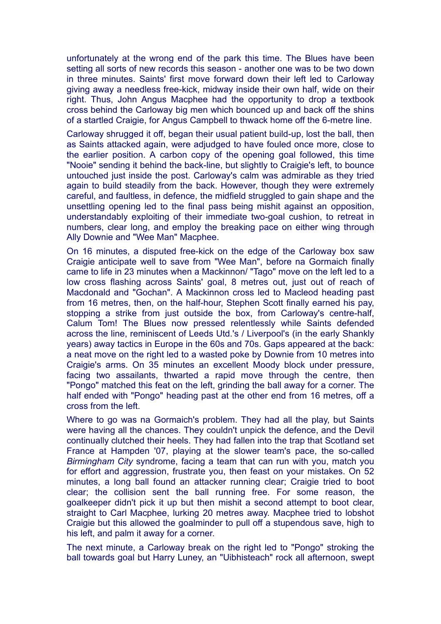unfortunately at the wrong end of the park this time. The Blues have been setting all sorts of new records this season - another one was to be two down in three minutes. Saints' first move forward down their left led to Carloway giving away a needless free-kick, midway inside their own half, wide on their right. Thus, John Angus Macphee had the opportunity to drop a textbook cross behind the Carloway big men which bounced up and back off the shins of a startled Craigie, for Angus Campbell to thwack home off the 6-metre line.

Carloway shrugged it off, began their usual patient build-up, lost the ball, then as Saints attacked again, were adjudged to have fouled once more, close to the earlier position. A carbon copy of the opening goal followed, this time "Nooie" sending it behind the back-line, but slightly to Craigie's left, to bounce untouched just inside the post. Carloway's calm was admirable as they tried again to build steadily from the back. However, though they were extremely careful, and faultless, in defence, the midfield struggled to gain shape and the unsettling opening led to the final pass being mishit against an opposition, understandably exploiting of their immediate two-goal cushion, to retreat in numbers, clear long, and employ the breaking pace on either wing through Ally Downie and "Wee Man" Macphee.

On 16 minutes, a disputed free-kick on the edge of the Carloway box saw Craigie anticipate well to save from "Wee Man", before na Gormaich finally came to life in 23 minutes when a Mackinnon/ "Tago" move on the left led to a low cross flashing across Saints' goal, 8 metres out, just out of reach of Macdonald and "Gochan". A Mackinnon cross led to Macleod heading past from 16 metres, then, on the half-hour, Stephen Scott finally earned his pay, stopping a strike from just outside the box, from Carloway's centre-half, Calum Tom! The Blues now pressed relentlessly while Saints defended across the line, reminiscent of Leeds Utd.'s / Liverpool's (in the early Shankly years) away tactics in Europe in the 60s and 70s. Gaps appeared at the back: a neat move on the right led to a wasted poke by Downie from 10 metres into Craigie's arms. On 35 minutes an excellent Moody block under pressure, facing two assailants, thwarted a rapid move through the centre, then "Pongo" matched this feat on the left, grinding the ball away for a corner. The half ended with "Pongo" heading past at the other end from 16 metres, off a cross from the left.

Where to go was na Gormaich's problem. They had all the play, but Saints were having all the chances. They couldn't unpick the defence, and the Devil continually clutched their heels. They had fallen into the trap that Scotland set France at Hampden '07, playing at the slower team's pace, the so-called *Birmingham City* syndrome, facing a team that can run with you, match you for effort and aggression, frustrate you, then feast on your mistakes. On 52 minutes, a long ball found an attacker running clear; Craigie tried to boot clear; the collision sent the ball running free. For some reason, the goalkeeper didn't pick it up but then mishit a second attempt to boot clear, straight to Carl Macphee, lurking 20 metres away. Macphee tried to lobshot Craigie but this allowed the goalminder to pull off a stupendous save, high to his left, and palm it away for a corner.

The next minute, a Carloway break on the right led to "Pongo" stroking the ball towards goal but Harry Luney, an "Uibhisteach" rock all afternoon, swept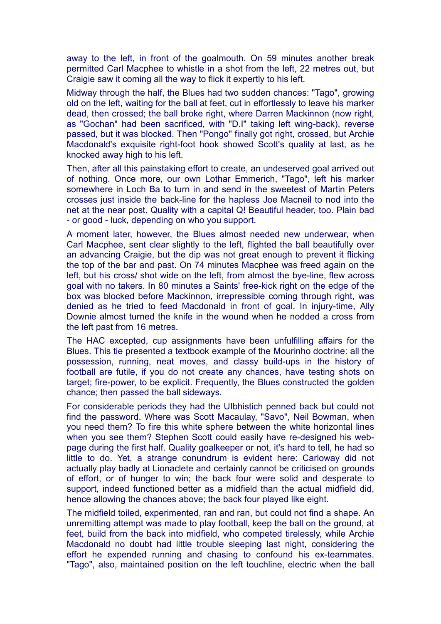away to the left, in front of the goalmouth. On 59 minutes another break permitted Carl Macphee to whistle in a shot from the left, 22 metres out, but Craigie saw it coming all the way to flick it expertly to his left.

Midway through the half, the Blues had two sudden chances: "Tago", growing old on the left, waiting for the ball at feet, cut in effortlessly to leave his marker dead, then crossed; the ball broke right, where Darren Mackinnon (now right, as "Gochan" had been sacrificed, with "D.I" taking left wing-back), reverse passed, but it was blocked. Then "Pongo" finally got right, crossed, but Archie Macdonald's exquisite right-foot hook showed Scott's quality at last, as he knocked away high to his left.

Then, after all this painstaking effort to create, an undeserved goal arrived out of nothing. Once more, our own Lothar Emmerich, "Tago", left his marker somewhere in Loch Ba to turn in and send in the sweetest of Martin Peters crosses just inside the back-line for the hapless Joe Macneil to nod into the net at the near post. Quality with a capital Q! Beautiful header, too. Plain bad - or good - luck, depending on who you support.

A moment later, however, the Blues almost needed new underwear, when Carl Macphee, sent clear slightly to the left, flighted the ball beautifully over an advancing Craigie, but the dip was not great enough to prevent it flicking the top of the bar and past. On 74 minutes Macphee was freed again on the left, but his cross/ shot wide on the left, from almost the bye-line, flew across goal with no takers. In 80 minutes a Saints' free-kick right on the edge of the box was blocked before Mackinnon, irrepressible coming through right, was denied as he tried to feed Macdonald in front of goal. In injury-time, Ally Downie almost turned the knife in the wound when he nodded a cross from the left past from 16 metres.

The HAC excepted, cup assignments have been unfulfilling affairs for the Blues. This tie presented a textbook example of the Mourinho doctrine: all the possession, running, neat moves, and classy build-ups in the history of football are futile, if you do not create any chances, have testing shots on target; fire-power, to be explicit. Frequently, the Blues constructed the golden chance; then passed the ball sideways.

For considerable periods they had the UIbhistich penned back but could not find the password. Where was Scott Macaulay, "Savo", Neil Bowman, when you need them? To fire this white sphere between the white horizontal lines when you see them? Stephen Scott could easily have re-designed his webpage during the first half. Quality goalkeeper or not, it's hard to tell, he had so little to do. Yet, a strange conundrum is evident here: Carloway did not actually play badly at Lionaclete and certainly cannot be criticised on grounds of effort, or of hunger to win; the back four were solid and desperate to support, indeed functioned better as a midfield than the actual midfield did, hence allowing the chances above; the back four played like eight.

The midfield toiled, experimented, ran and ran, but could not find a shape. An unremitting attempt was made to play football, keep the ball on the ground, at feet, build from the back into midfield, who competed tirelessly, while Archie Macdonald no doubt had little trouble sleeping last night, considering the effort he expended running and chasing to confound his ex-teammates. "Tago", also, maintained position on the left touchline, electric when the ball